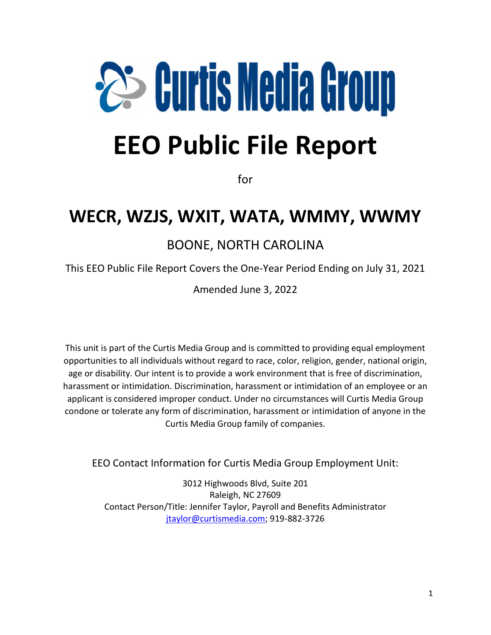# **25 Curtis Media Group**

# **EEO Public File Report**

for

# **WECR, WZJS, WXIT, WATA, WMMY, WWMY**

### BOONE, NORTH CAROLINA

This EEO Public File Report Covers the One-Year Period Ending on July 31, 2021

Amended June 3, 2022

This unit is part of the Curtis Media Group and is committed to providing equal employment opportunities to all individuals without regard to race, color, religion, gender, national origin, age or disability. Our intent is to provide a work environment that is free of discrimination, harassment or intimidation. Discrimination, harassment or intimidation of an employee or an applicant is considered improper conduct. Under no circumstances will Curtis Media Group condone or tolerate any form of discrimination, harassment or intimidation of anyone in the Curtis Media Group family of companies.

EEO Contact Information for Curtis Media Group Employment Unit:

3012 Highwoods Blvd, Suite 201 Raleigh, NC 27609 Contact Person/Title: Jennifer Taylor, Payroll and Benefits Administrator jtaylor@curtismedia.com; 919-882-3726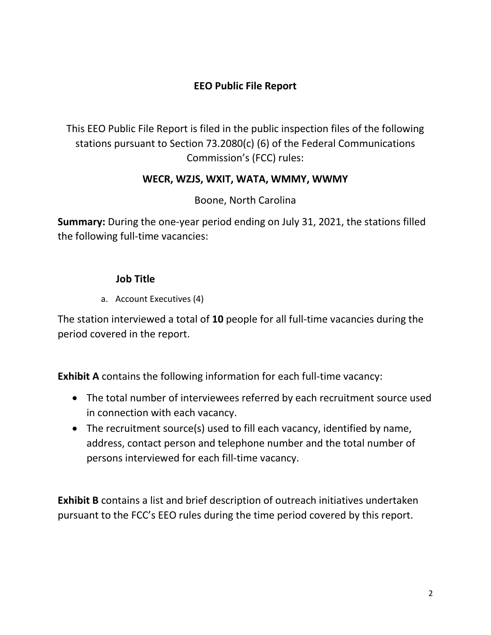#### **EEO Public File Report**

This EEO Public File Report is filed in the public inspection files of the following stations pursuant to Section 73.2080(c) (6) of the Federal Communications Commission's (FCC) rules:

#### **WECR, WZJS, WXIT, WATA, WMMY, WWMY**

#### Boone, North Carolina

**Summary:** During the one-year period ending on July 31, 2021, the stations filled the following full-time vacancies:

#### **Job Title**

a. Account Executives (4)

The station interviewed a total of **10** people for all full-time vacancies during the period covered in the report.

**Exhibit A** contains the following information for each full-time vacancy:

- The total number of interviewees referred by each recruitment source used in connection with each vacancy.
- The recruitment source(s) used to fill each vacancy, identified by name, address, contact person and telephone number and the total number of persons interviewed for each fill-time vacancy.

**Exhibit B** contains a list and brief description of outreach initiatives undertaken pursuant to the FCC's EEO rules during the time period covered by this report.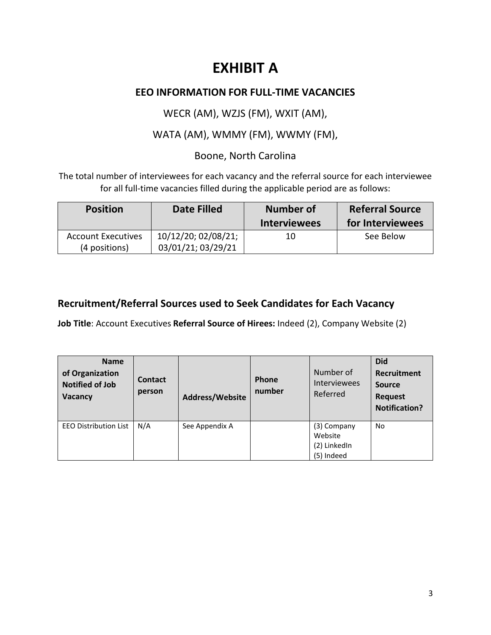# **EXHIBIT A**

#### **EEO INFORMATION FOR FULL-TIME VACANCIES**

WECR (AM), WZJS (FM), WXIT (AM),

WATA (AM), WMMY (FM), WWMY (FM),

#### Boone, North Carolina

The total number of interviewees for each vacancy and the referral source for each interviewee for all full-time vacancies filled during the applicable period are as follows:

| <b>Position</b>                            | <b>Date Filled</b>                        | <b>Number of</b><br><b>Interviewees</b> | <b>Referral Source</b><br>for Interviewees |
|--------------------------------------------|-------------------------------------------|-----------------------------------------|--------------------------------------------|
| <b>Account Executives</b><br>(4 positions) | 10/12/20; 02/08/21;<br>03/01/21; 03/29/21 | 10                                      | See Below                                  |

#### **Recruitment/Referral Sources used to Seek Candidates for Each Vacancy**

**Job Title**: Account Executives **Referral Source of Hirees:** Indeed (2), Company Website (2)

| <b>Name</b><br>of Organization<br><b>Notified of Job</b><br>Vacancy | <b>Contact</b><br>person | <b>Address/Website</b> | Phone<br>number | Number of<br><b>Interviewees</b><br>Referred         | <b>Did</b><br><b>Recruitment</b><br>Source<br><b>Request</b><br><b>Notification?</b> |
|---------------------------------------------------------------------|--------------------------|------------------------|-----------------|------------------------------------------------------|--------------------------------------------------------------------------------------|
| <b>EEO Distribution List</b>                                        | N/A                      | See Appendix A         |                 | (3) Company<br>Website<br>(2) LinkedIn<br>(5) Indeed | <b>No</b>                                                                            |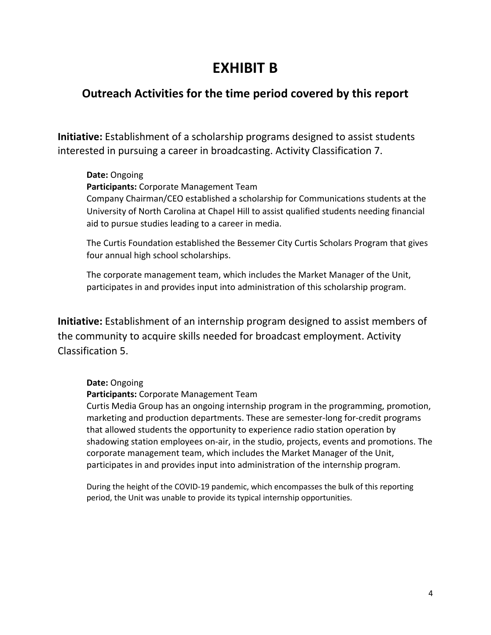# **EXHIBIT B**

#### **Outreach Activities for the time period covered by this report**

**Initiative:** Establishment of a scholarship programs designed to assist students interested in pursuing a career in broadcasting. Activity Classification 7.

#### **Date:** Ongoing

**Participants:** Corporate Management Team

Company Chairman/CEO established a scholarship for Communications students at the University of North Carolina at Chapel Hill to assist qualified students needing financial aid to pursue studies leading to a career in media.

The Curtis Foundation established the Bessemer City Curtis Scholars Program that gives four annual high school scholarships.

The corporate management team, which includes the Market Manager of the Unit, participates in and provides input into administration of this scholarship program.

**Initiative:** Establishment of an internship program designed to assist members of the community to acquire skills needed for broadcast employment. Activity Classification 5.

#### **Date:** Ongoing

**Participants:** Corporate Management Team

Curtis Media Group has an ongoing internship program in the programming, promotion, marketing and production departments. These are semester-long for-credit programs that allowed students the opportunity to experience radio station operation by shadowing station employees on-air, in the studio, projects, events and promotions. The corporate management team, which includes the Market Manager of the Unit, participates in and provides input into administration of the internship program.

During the height of the COVID-19 pandemic, which encompasses the bulk of this reporting period, the Unit was unable to provide its typical internship opportunities.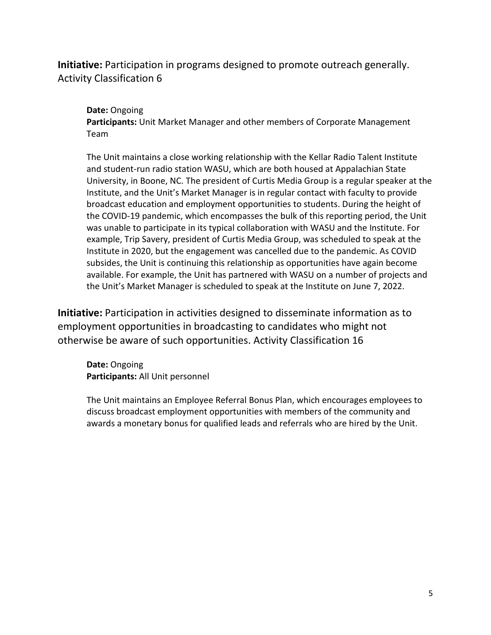#### **Initiative:** Participation in programs designed to promote outreach generally. Activity Classification 6

#### **Date:** Ongoing

**Participants:** Unit Market Manager and other members of Corporate Management Team

The Unit maintains a close working relationship with the Kellar Radio Talent Institute and student-run radio station WASU, which are both housed at Appalachian State University, in Boone, NC. The president of Curtis Media Group is a regular speaker at the Institute, and the Unit's Market Manager is in regular contact with faculty to provide broadcast education and employment opportunities to students. During the height of the COVID-19 pandemic, which encompasses the bulk of this reporting period, the Unit was unable to participate in its typical collaboration with WASU and the Institute. For example, Trip Savery, president of Curtis Media Group, was scheduled to speak at the Institute in 2020, but the engagement was cancelled due to the pandemic. As COVID subsides, the Unit is continuing this relationship as opportunities have again become available. For example, the Unit has partnered with WASU on a number of projects and the Unit's Market Manager is scheduled to speak at the Institute on June 7, 2022.

**Initiative:** Participation in activities designed to disseminate information as to employment opportunities in broadcasting to candidates who might not otherwise be aware of such opportunities. Activity Classification 16

**Date:** Ongoing **Participants:** All Unit personnel

The Unit maintains an Employee Referral Bonus Plan, which encourages employees to discuss broadcast employment opportunities with members of the community and awards a monetary bonus for qualified leads and referrals who are hired by the Unit.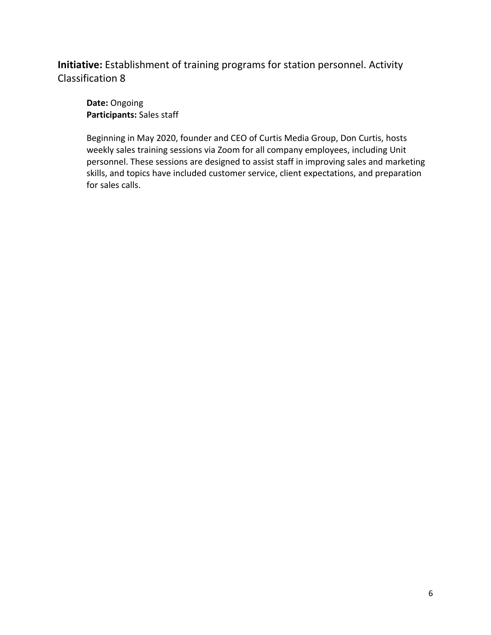**Initiative:** Establishment of training programs for station personnel. Activity Classification 8

**Date:** Ongoing **Participants:** Sales staff

Beginning in May 2020, founder and CEO of Curtis Media Group, Don Curtis, hosts weekly sales training sessions via Zoom for all company employees, including Unit personnel. These sessions are designed to assist staff in improving sales and marketing skills, and topics have included customer service, client expectations, and preparation for sales calls.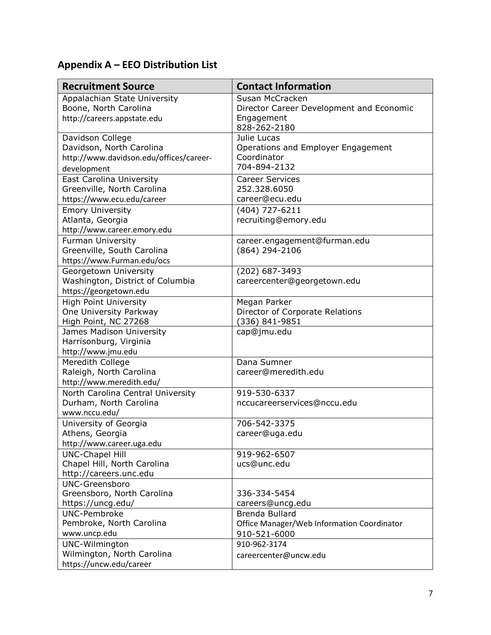## **Appendix A – EEO Distribution List**

| <b>Recruitment Source</b>                    | <b>Contact Information</b>                 |  |
|----------------------------------------------|--------------------------------------------|--|
| Appalachian State University                 | Susan McCracken                            |  |
| Boone, North Carolina                        | Director Career Development and Economic   |  |
| http://careers.appstate.edu                  | Engagement                                 |  |
|                                              | 828-262-2180                               |  |
| Davidson College                             | Julie Lucas                                |  |
| Davidson, North Carolina                     | Operations and Employer Engagement         |  |
| http://www.davidson.edu/offices/career-      | Coordinator                                |  |
| development                                  | 704-894-2132                               |  |
| East Carolina University                     | <b>Career Services</b>                     |  |
| Greenville, North Carolina                   | 252.328.6050                               |  |
| https://www.ecu.edu/career                   | career@ecu.edu                             |  |
| <b>Emory University</b>                      | (404) 727-6211                             |  |
| Atlanta, Georgia                             | recruiting@emory.edu                       |  |
| http://www.career.emory.edu                  |                                            |  |
| <b>Furman University</b>                     | career.engagement@furman.edu               |  |
| Greenville, South Carolina                   | (864) 294-2106                             |  |
| https://www.Furman.edu/ocs                   |                                            |  |
| Georgetown University                        | (202) 687-3493                             |  |
| Washington, District of Columbia             | careercenter@georgetown.edu                |  |
| https://georgetown.edu                       |                                            |  |
| <b>High Point University</b>                 | Megan Parker                               |  |
| One University Parkway                       | Director of Corporate Relations            |  |
| High Point, NC 27268                         | (336) 841-9851                             |  |
| James Madison University                     | cap@jmu.edu                                |  |
| Harrisonburg, Virginia<br>http://www.jmu.edu |                                            |  |
| Meredith College                             | Dana Sumner                                |  |
| Raleigh, North Carolina                      | career@meredith.edu                        |  |
| http://www.meredith.edu/                     |                                            |  |
| North Carolina Central University            | 919-530-6337                               |  |
| Durham, North Carolina                       | nccucareerservices@nccu.edu                |  |
| www.nccu.edu/                                |                                            |  |
| University of Georgia                        | 706-542-3375                               |  |
| Athens, Georgia                              | career@uga.edu                             |  |
| http://www.career.uga.edu                    |                                            |  |
| <b>UNC-Chapel Hill</b>                       | 919-962-6507                               |  |
| Chapel Hill, North Carolina                  | ucs@unc.edu                                |  |
| http://careers.unc.edu                       |                                            |  |
| <b>UNC-Greensboro</b>                        |                                            |  |
| Greensboro, North Carolina                   | 336-334-5454                               |  |
| https://uncg.edu/                            | careers@uncg.edu                           |  |
| <b>UNC-Pembroke</b>                          | Brenda Bullard                             |  |
| Pembroke, North Carolina                     | Office Manager/Web Information Coordinator |  |
| www.uncp.edu                                 | 910-521-6000                               |  |
| UNC-Wilmington                               | 910-962-3174                               |  |
| Wilmington, North Carolina                   | careercenter@uncw.edu                      |  |
| https://uncw.edu/career                      |                                            |  |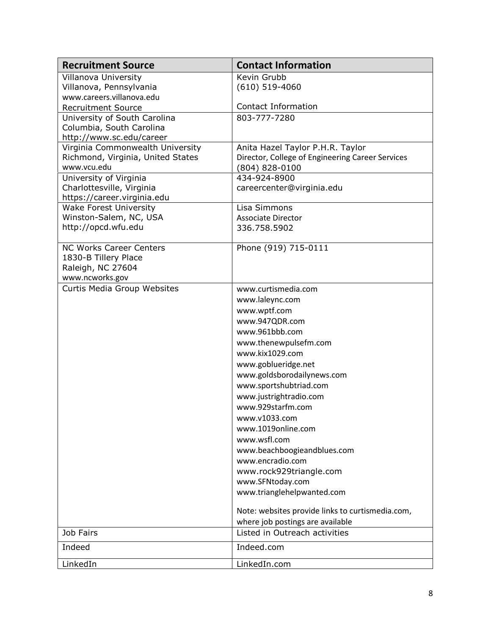| <b>Recruitment Source</b>                            | <b>Contact Information</b>                       |
|------------------------------------------------------|--------------------------------------------------|
| Villanova University                                 | Kevin Grubb                                      |
| Villanova, Pennsylvania                              | $(610)$ 519-4060                                 |
| www.careers.villanova.edu                            |                                                  |
| <b>Recruitment Source</b>                            | <b>Contact Information</b>                       |
| University of South Carolina                         | 803-777-7280                                     |
| Columbia, South Carolina<br>http://www.sc.edu/career |                                                  |
| Virginia Commonwealth University                     | Anita Hazel Taylor P.H.R. Taylor                 |
| Richmond, Virginia, United States                    | Director, College of Engineering Career Services |
| www.vcu.edu                                          | $(804) 828 - 0100$                               |
| University of Virginia                               | 434-924-8900                                     |
| Charlottesville, Virginia                            | careercenter@virginia.edu                        |
| https://career.virginia.edu                          |                                                  |
| <b>Wake Forest University</b>                        | Lisa Simmons                                     |
| Winston-Salem, NC, USA                               | <b>Associate Director</b>                        |
| http://opcd.wfu.edu                                  | 336.758.5902                                     |
|                                                      |                                                  |
| <b>NC Works Career Centers</b>                       | Phone (919) 715-0111                             |
| 1830-B Tillery Place                                 |                                                  |
| Raleigh, NC 27604<br>www.ncworks.gov                 |                                                  |
| Curtis Media Group Websites                          | www.curtismedia.com                              |
|                                                      | www.laleync.com                                  |
|                                                      | www.wptf.com                                     |
|                                                      | www.947QDR.com                                   |
|                                                      | www.961bbb.com                                   |
|                                                      | www.thenewpulsefm.com                            |
|                                                      | www.kix1029.com                                  |
|                                                      | www.goblueridge.net                              |
|                                                      | www.goldsborodailynews.com                       |
|                                                      | www.sportshubtriad.com                           |
|                                                      | www.justrightradio.com                           |
|                                                      | www.929starfm.com                                |
|                                                      | www.v1033.com                                    |
|                                                      | www.1019online.com                               |
|                                                      | www.wsfl.com                                     |
|                                                      | www.beachboogieandblues.com                      |
|                                                      | www.encradio.com                                 |
|                                                      | www.rock929triangle.com                          |
|                                                      | www.SFNtoday.com                                 |
|                                                      | www.trianglehelpwanted.com                       |
|                                                      | Note: websites provide links to curtismedia.com, |
|                                                      | where job postings are available                 |
| Job Fairs                                            | Listed in Outreach activities                    |
| Indeed                                               | Indeed.com                                       |
| LinkedIn                                             | LinkedIn.com                                     |